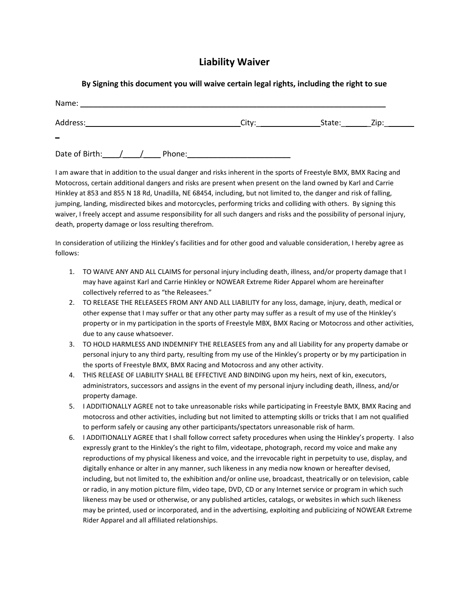## **Liability Waiver**

| By Signing this document you will waive certain legal rights, including the right to sue |
|------------------------------------------------------------------------------------------|
|------------------------------------------------------------------------------------------|

| Name:                |  |  |        |       |  |                                    |  |
|----------------------|--|--|--------|-------|--|------------------------------------|--|
| Address:             |  |  |        | City: |  | State: <u>_______</u> Zip: _______ |  |
| $\equiv$             |  |  |        |       |  |                                    |  |
| Date of Birth: $/$ / |  |  | Phone: |       |  |                                    |  |

I am aware that in addition to the usual danger and risks inherent in the sports of Freestyle BMX, BMX Racing and Motocross, certain additional dangers and risks are present when present on the land owned by Karl and Carrie Hinkley at 853 and 855 N 18 Rd, Unadilla, NE 68454, including, but not limited to, the danger and risk of falling, jumping, landing, misdirected bikes and motorcycles, performing tricks and colliding with others. By signing this waiver, I freely accept and assume responsibility for all such dangers and risks and the possibility of personal injury, death, property damage or loss resulting therefrom.

In consideration of utilizing the Hinkley's facilities and for other good and valuable consideration, I hereby agree as follows:

- 1. TO WAIVE ANY AND ALL CLAIMS for personal injury including death, illness, and/or property damage that I may have against Karl and Carrie Hinkley or NOWEAR Extreme Rider Apparel whom are hereinafter collectively referred to as "the Releasees."
- 2. TO RELEASE THE RELEASEES FROM ANY AND ALL LIABILITY for any loss, damage, injury, death, medical or other expense that I may suffer or that any other party may suffer as a result of my use of the Hinkley's property or in my participation in the sports of Freestyle MBX, BMX Racing or Motocross and other activities, due to any cause whatsoever.
- 3. TO HOLD HARMLESS AND INDEMNIFY THE RELEASEES from any and all Liability for any property damabe or personal injury to any third party, resulting from my use of the Hinkley's property or by my participation in the sports of Freestyle BMX, BMX Racing and Motocross and any other activity.
- 4. THIS RELEASE OF LIABILITY SHALL BE EFFECTIVE AND BINDING upon my heirs, next of kin, executors, administrators, successors and assigns in the event of my personal injury including death, illness, and/or property damage.
- 5. I ADDITIONALLY AGREE not to take unreasonable risks while participating in Freestyle BMX, BMX Racing and motocross and other activities, including but not limited to attempting skills or tricks that I am not qualified to perform safely or causing any other participants/spectators unreasonable risk of harm.
- 6. I ADDITIONALLY AGREE that I shall follow correct safety procedures when using the Hinkley's property. I also expressly grant to the Hinkley's the right to film, videotape, photograph, record my voice and make any reproductions of my physical likeness and voice, and the irrevocable right in perpetuity to use, display, and digitally enhance or alter in any manner, such likeness in any media now known or hereafter devised, including, but not limited to, the exhibition and/or online use, broadcast, theatrically or on television, cable or radio, in any motion picture film, video tape, DVD, CD or any Internet service or program in which such likeness may be used or otherwise, or any published articles, catalogs, or websites in which such likeness may be printed, used or incorporated, and in the advertising, exploiting and publicizing of NOWEAR Extreme Rider Apparel and all affiliated relationships.